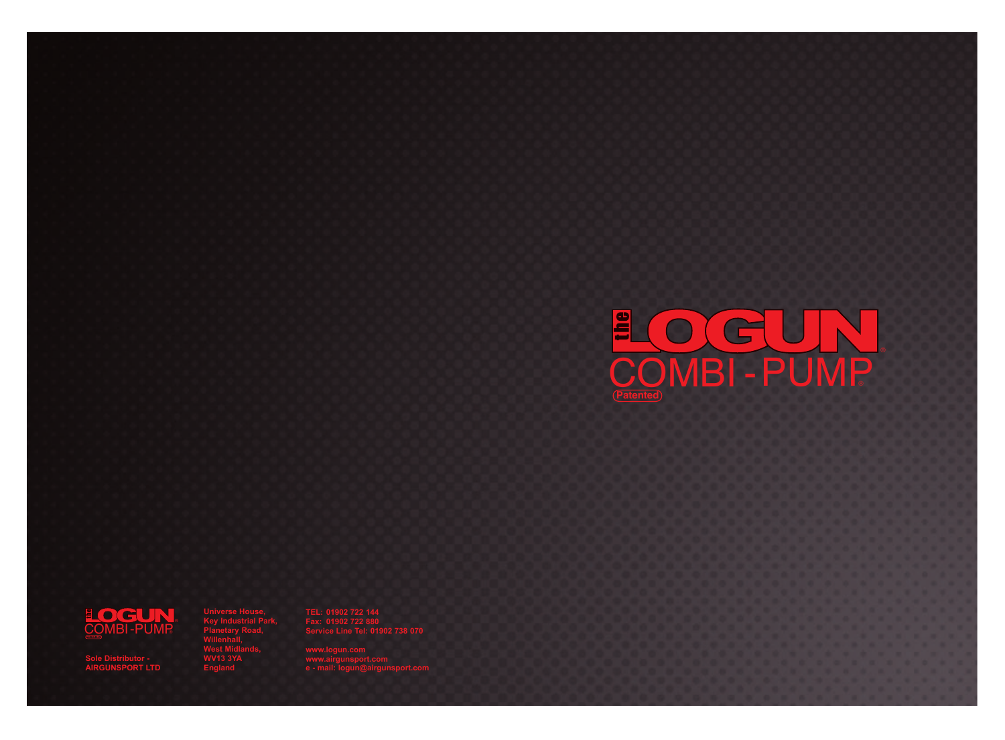

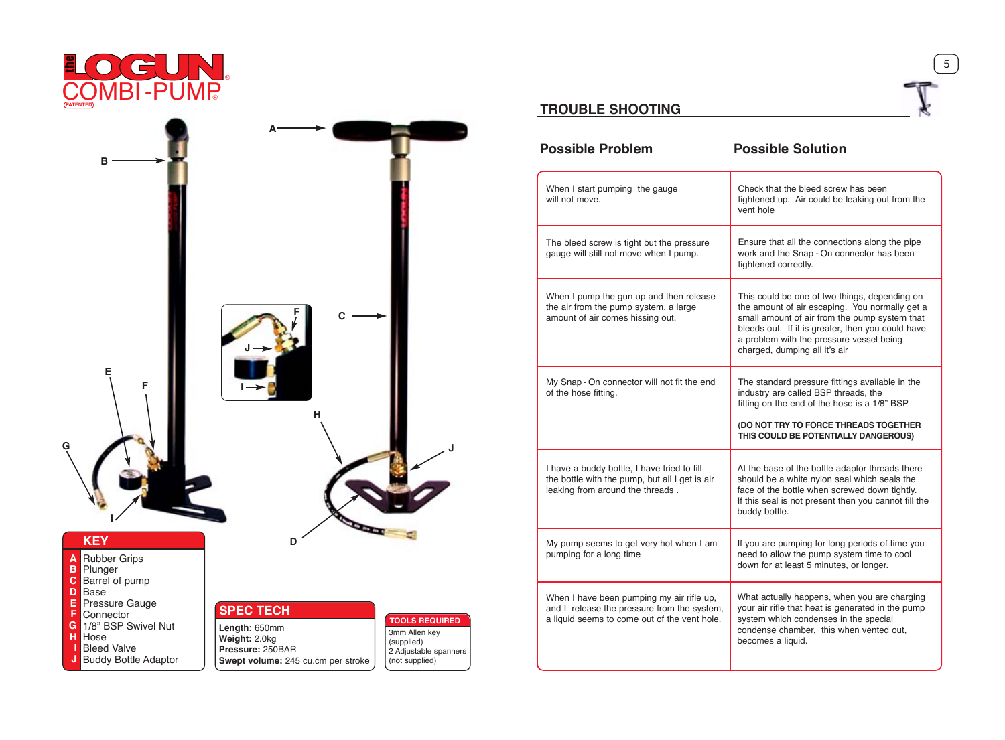



# **TROUBLE SHOOTING**

| Possible Problem                                                                                                                         | <b>Possible Solution</b>                                                                                                                                                                                                                                                             |
|------------------------------------------------------------------------------------------------------------------------------------------|--------------------------------------------------------------------------------------------------------------------------------------------------------------------------------------------------------------------------------------------------------------------------------------|
| When I start pumping the gauge<br>gunn the list                                                                                          | Check that the higgst smaw has heen<br>tichtened up. Air could be leaking out from the<br>yent hole                                                                                                                                                                                  |
| The bleed screw is tight but the pressure<br>gauge will still not move when I pump.                                                      | Ensure that all the connections along the gipe<br>work and the Snap - On connector has been<br>tightened correctly.                                                                                                                                                                  |
| When I cump the cun up and then release<br>the air from the cump system, a large<br>amount of air comes hissing out.                     | This could be one of two things, depending on<br>the amount of air escaping. You normally get a<br>small amount of air from the ourso system that<br>bleeds out. If it is greater, then you could have<br>a problem with the pressure vessel being<br>charged, dumping all it's air. |
| My Snap - On connector will not fit the end<br>of the hose fitting.                                                                      | The standard pressure fittings available in the<br>industry are called BSP threads, the<br>fitting on the end of the hose is a 1/8" BSP<br>(DO NOT TRY TO FORCE THREADS TOGETHER<br>THIS COULD BE POTENTIALLY DANGEROUS)                                                             |
| I have a buddy bottle. I have tried to fill<br>the bottle with the oumo, but all I get is air<br>leaking from around the threads.        | At the base of the bottle adaptor threads there<br>should be a white nylon seal which seals the<br>face of the bottle when screwed down tightly.<br>If this seal is not present then you cannot fill the<br>buddy bottle.                                                            |
| My cump seems to get yery hot when I am<br>pumping for a long time                                                                       | If you are pumping for long periods of time you<br>need to allow the oumo system time to cool<br>down for at least 5 minutes, or longer.                                                                                                                                             |
| When I have been pumping my air rifle up.<br>and I release the pressure from the system.<br>a liquid seems to come out of the vent hole. | What actually happens, when you are charging<br>your air rifle that heat is cenerated in the oumo<br>system which condenses in the special<br>condense chamber. this when vented out.<br>becomes a liquid.                                                                           |

 $\odot$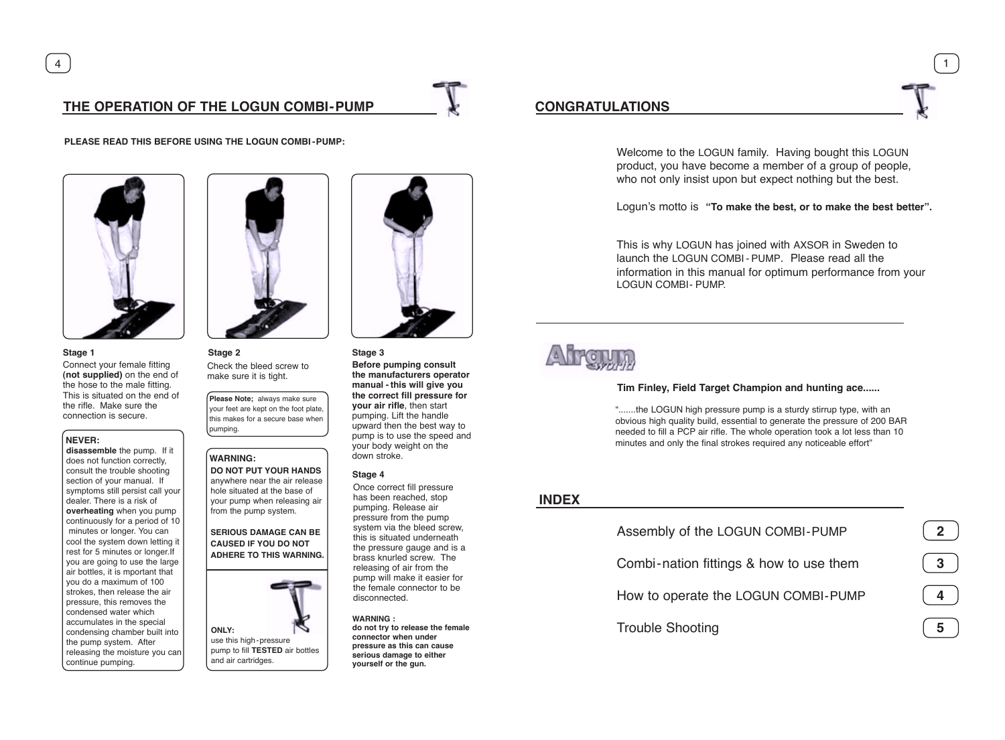# **THE OPERATION OF THE LOGUN COMBI - PUMP CONGRATULATIONS**

**PLEASE READ THIS BEFORE USING THE LOGUN COMBI - PUMP:**



Connect your female fitting **(not supplied)** on the end of the hose to the male fitting. This is situated on the end of the rifle. Make sure the connection is secure. **Stage 1**

**NEVER: disassemble** the pump. If it does not function correctly, consult the trouble shooting section of your manual. If symptoms still persist call your dealer. There is a risk of **overheating** when you pump continuously for a period of 10 minutes or longer. You can complete or nonger, now cars rest for 5 minutes or longer.If you are going to use the large air bottles, it is mportant that you do a maximum of 100 strokes, then release the air pressure, this removes the condensed water which accumulates in the special condensing chamber built into the pump system. After releasing the moisture you can continue pumping.



Check the bleed screw to make sure it is tight. **Stage 2**

**Please Note;** always make sure our feet are kept on the foot plate this makes for a secure base when pumping.

### **WARNING:**

**DO NOT PUT YOUR HANDS** anywhere near the air release hole situated at the base of your pump when releasing air from the pump system.

**SERIOUS DAMAGE CAN BE CAUSED IF YOU DO NOT ADHERE TO THIS WARNING.**





## **Stage 3**

**Before pumping consult the manufacturers operator manual - this will give you the correct fill pressure for your air rifle**, then start pumping. Lift the handle upward then the best way to pump is to use the speed and your body weight on the down stroke.

### **Stage 4**

Once correct fill pressure has been reached, stop pumping. Release air pressure from the pump system via the bleed screw, this is situated underneath the pressure gauge and is a brass knurled screw. The releasing of air from the pump will make it easier for the female connector to be disconnected.

**WARNING : do not try to release the female connector when under pressure as this can cause serious damage to either yourself or the gun.**

4 1

Welcome to the LOGUN family. Having bought this LOGUN product, you have become a member of a group of people, who not only insist upon but expect nothing but the best.

Logun's motto is **"To make the best, or to make the best better".**

This is why LOGUN has joined with AXSOR in Sweden to launch the LOGUN COMBI - PUMP. Please read all the information in this manual for optimum performance from your LOGUN COMBI- PUMP.

# **Afronie**

### **Tim Finley, Field Target Champion and hunting ace......**

".......the LOGUN high pressure pump is a sturdy stirrup type, with an obvious high quality build, essential to generate the pressure of 200 BAR needed to fill a PCP air rifle. The whole operation took a lot less than 10 minutes and only the final strokes required any noticeable effort"

# **INDEX**

Assembly of the LOGUN COMBI - PUMP

Combi-nation fittings & how to use them

How to operate the LOGUN COMBI - PUMP

Trouble Shooting